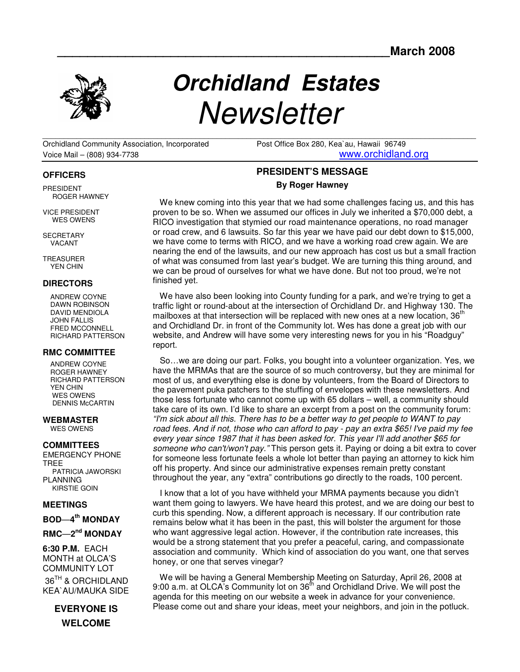

# **Orchidland Estates Newsletter**

 $\mathcal{L}_\mathcal{L} = \{ \mathcal{L}_\mathcal{L} = \{ \mathcal{L}_\mathcal{L} = \{ \mathcal{L}_\mathcal{L} = \{ \mathcal{L}_\mathcal{L} = \{ \mathcal{L}_\mathcal{L} = \{ \mathcal{L}_\mathcal{L} = \{ \mathcal{L}_\mathcal{L} = \{ \mathcal{L}_\mathcal{L} = \{ \mathcal{L}_\mathcal{L} = \{ \mathcal{L}_\mathcal{L} = \{ \mathcal{L}_\mathcal{L} = \{ \mathcal{L}_\mathcal{L} = \{ \mathcal{L}_\mathcal{L} = \{ \mathcal{L}_\mathcal{$ Orchidland Community Association, Incorporated Post Office Box 280, Kea`au, Hawaii 96749 Voice Mail – (808) 934-7738 www.orchidland.org

# **PRESIDENT'S MESSAGE By Roger Hawney**

We knew coming into this year that we had some challenges facing us, and this has proven to be so. When we assumed our offices in July we inherited a \$70,000 debt, a RICO investigation that stymied our road maintenance operations, no road manager or road crew, and 6 lawsuits. So far this year we have paid our debt down to \$15,000, we have come to terms with RICO, and we have a working road crew again. We are nearing the end of the lawsuits, and our new approach has cost us but a small fraction of what was consumed from last year's budget. We are turning this thing around, and we can be proud of ourselves for what we have done. But not too proud, we're not finished yet.

 We have also been looking into County funding for a park, and we're trying to get a traffic light or round-about at the intersection of Orchidland Dr. and Highway 130. The mailboxes at that intersection will be replaced with new ones at a new location,  $36<sup>m</sup>$ and Orchidland Dr. in front of the Community lot. Wes has done a great job with our website, and Andrew will have some very interesting news for you in his "Roadguy" report.

 So…we are doing our part. Folks, you bought into a volunteer organization. Yes, we have the MRMAs that are the source of so much controversy, but they are minimal for most of us, and everything else is done by volunteers, from the Board of Directors to the pavement puka patchers to the stuffing of envelopes with these newsletters. And those less fortunate who cannot come up with 65 dollars – well, a community should take care of its own. I'd like to share an excerpt from a post on the community forum: "I'm sick about all this. There has to be a better way to get people to WANT to pay road fees. And if not, those who can afford to pay - pay an extra \$65! I've paid my fee every year since 1987 that it has been asked for. This year I'll add another \$65 for someone who can't/won't pay. "This person gets it. Paying or doing a bit extra to cover for someone less fortunate feels a whole lot better than paying an attorney to kick him off his property. And since our administrative expenses remain pretty constant throughout the year, any "extra" contributions go directly to the roads, 100 percent.

 I know that a lot of you have withheld your MRMA payments because you didn't want them going to lawyers. We have heard this protest, and we are doing our best to curb this spending. Now, a different approach is necessary. If our contribution rate remains below what it has been in the past, this will bolster the argument for those who want aggressive legal action. However, if the contribution rate increases, this would be a strong statement that you prefer a peaceful, caring, and compassionate association and community. Which kind of association do you want, one that serves honey, or one that serves vinegar?

 We will be having a General Membership Meeting on Saturday, April 26, 2008 at 9:00 a.m. at OLCA's Community lot on 36<sup>th</sup> and Orchidland Drive. We will post the agenda for this meeting on our website a week in advance for your convenience. Please come out and share your ideas, meet your neighbors, and join in the potluck.

#### **OFFICERS**

PRESIDENT ROGER HAWNEY

VICE PRESIDENT WES OWENS

**SECRETARY** VACANT

TREASURER YEN CHIN

#### **DIRECTORS**

 ANDREW COYNE DAWN ROBINSON DAVID MENDIOLA JOHN FALLIS FRED MCCONNELL RICHARD PATTERSON

#### **RMC COMMITTEE**

 ANDREW COYNE ROGER HAWNEY RICHARD PATTERSON YEN CHIN WES OWENS DENNIS McCARTIN

#### **WEBMASTER**  WES OWENS

#### **COMMITTEES**  EMERGENCY PHONE TREE

 PATRICIA JAWORSKI PLANNING KIRSTIE GOIN

#### **MEETINGS**

**BOD**—**4 th MONDAY** 

### **RMC**—**2 nd MONDAY**

**6:30 P.M.** EACH MONTH at OLCA'S COMMUNITY LOT 36<sup>TH</sup> & ORCHIDLAND KEA`AU/MAUKA SIDE

> **EVERYONE IS WELCOME**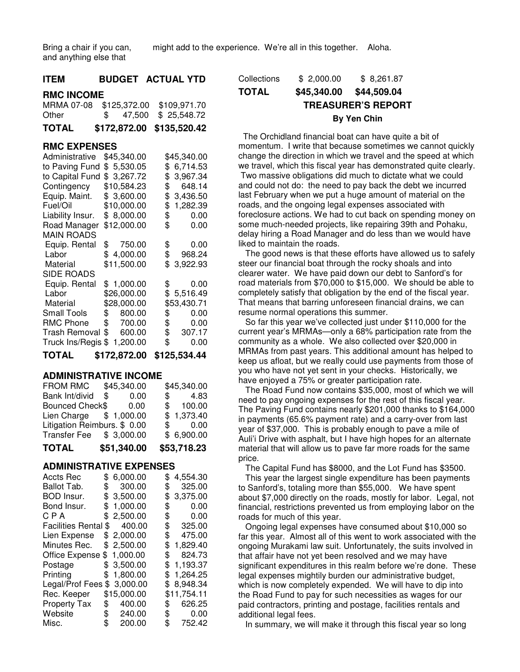might add to the experience. We're all in this together. Aloha.

Bring a chair if you can, and anything else that

| 11 E.W            |  | BUDGEI AUIUALIID                     |
|-------------------|--|--------------------------------------|
| <b>RMC INCOME</b> |  |                                      |
|                   |  | MRMA 07-08 \$125,372.00 \$109,971.70 |
| Other             |  | $$47,500$ $$25,548.72$               |
| TOTAL             |  | \$172,872.00 \$135,520.42            |

**ITEM BUDGET ACTUAL YTD** 

#### **RMC EXPENSES**

| Administrative              | \$45,340.00  |    | \$45,340.00           |
|-----------------------------|--------------|----|-----------------------|
| to Paving Fund              | \$5,530.05   | \$ | 6,714.53              |
| to Capital Fund             | \$3,267.72   | \$ | 3,967.34              |
| Contingency                 | \$10,584.23  | \$ | 648.14                |
| Equip. Maint.               | \$3,600.00   | \$ | 3,436.50              |
| Fuel/Oil                    | \$10,000.00  | \$ | 1,282.39              |
| Liability Insur.            | \$8,000.00   |    | $\frac{1}{2}$<br>0.00 |
| Road Manager                | \$12,000.00  | \$ | 0.00                  |
| <b>MAIN ROADS</b>           |              |    |                       |
| Equip. Rental               | \$750.00     | \$ | 0.00                  |
| Labor                       | \$4,000.00   | \$ | 968.24                |
| Material                    | \$11,500.00  | \$ | 3,922.93              |
| <b>SIDE ROADS</b>           |              |    |                       |
| Equip. Rental               | \$1,000.00   | \$ | 0.00                  |
| Labor                       | \$26,000.00  |    | \$5,516.49            |
| Material                    | \$28,000.00  |    | \$53,430.71           |
| Small Tools                 | \$<br>800.00 | \$ | 0.00                  |
| RMC Phone                   | \$700.00     | \$ | 0.00                  |
| Trash Removal               | \$600.00     | \$ | 307.17                |
| Truck Ins/Regis \$ 1,200.00 |              | \$ | 0.00                  |
| TOTAL                       | \$172,872.00 |    | \$125,534.44          |

#### **ADMINISTRATIVE INCOME**

| <b>TOTAL</b>                 | \$51,340.00 | \$53,718.23          |
|------------------------------|-------------|----------------------|
| Transfer Fee \$ 3,000.00     |             | \$6,900.00           |
| Litigation Reimburs. \$ 0.00 |             | $\$\,$ 0.00          |
| Lien Charge \$ 1,000.00      |             | \$1,373.40           |
| Bounced Check\$              | 0.00        | \$100.00             |
| Bank Int/divid               | \$<br>0.00  | 4.83<br>$\mathbb{S}$ |
| FROM RMC                     | \$45,340.00 | \$45,340.00          |

#### **ADMINISTRATIVE EXPENSES**

| Accts Rec                | \$  | 6,000.00    | \$<br>4,554.30 |
|--------------------------|-----|-------------|----------------|
| Ballot Tab.              | \$  | 300.00      | \$<br>325.00   |
| BOD Insur.               |     | \$3,500.00  | \$<br>3,375.00 |
| Bond Insur.              | \$  | 1,000.00    | \$<br>0.00     |
| C P A                    | \$  | 2,500.00    | \$<br>0.00     |
| <b>Facilities Rental</b> | \$  | 400.00      | \$<br>325.00   |
| Lien Expense             | \$  | 2,000.00    | \$<br>475.00   |
| Minutes Rec.             |     | \$2,500.00  | \$<br>1,829.40 |
| Office Expense           | \$  | 1,000.00    | \$<br>824.73   |
| Postage                  |     | \$3,500.00  | \$<br>1,193.37 |
| Printing                 | \$. | 1,800.00    | \$<br>1,264.25 |
| Legal/Prof Fees          | \$  | 3,000.00    | \$<br>8,948.34 |
| Rec. Keeper              |     | \$15,000.00 | \$11,754.11    |
| <b>Property Tax</b>      | \$  | 400.00      | \$<br>626.25   |
| Website                  |     | \$240.00    | \$<br>0.00     |
| Misc.                    | \$  | 200.00      | \$<br>752.42   |

| Collections | \$2.000.00  | \$8,261.87                |
|-------------|-------------|---------------------------|
| TOTAL       | \$45,340.00 | \$44,509.04               |
|             |             | <b>TREASURER'S REPORT</b> |
|             |             | By Yen Chin               |

 The Orchidland financial boat can have quite a bit of momentum. I write that because sometimes we cannot quickly change the direction in which we travel and the speed at which we travel, which this fiscal year has demonstrated quite clearly. Two massive obligations did much to dictate what we could and could not do: the need to pay back the debt we incurred last February when we put a huge amount of material on the roads, and the ongoing legal expenses associated with foreclosure actions. We had to cut back on spending money on some much-needed projects, like repairing 39th and Pohaku, delay hiring a Road Manager and do less than we would have liked to maintain the roads.

The good news is that these efforts have allowed us to safely steer our financial boat through the rocky shoals and into clearer water. We have paid down our debt to Sanford's for road materials from \$70,000 to \$15,000. We should be able to completely satisfy that obligation by the end of the fiscal year. That means that barring unforeseen financial drains, we can resume normal operations this summer.

 So far this year we've collected just under \$110,000 for the current year's MRMAs—only a 68% participation rate from the community as a whole. We also collected over \$20,000 in MRMAs from past years. This additional amount has helped to keep us afloat, but we really could use payments from those of you who have not yet sent in your checks. Historically, we have enjoyed a 75% or greater participation rate.

 The Road Fund now contains \$35,000, most of which we will need to pay ongoing expenses for the rest of this fiscal year. The Paving Fund contains nearly \$201,000 thanks to \$164,000 in payments (65.6% payment rate) and a carry-over from last year of \$37,000. This is probably enough to pave a mile of Auli'i Drive with asphalt, but I have high hopes for an alternate material that will allow us to pave far more roads for the same price.

The Capital Fund has \$8000, and the Lot Fund has \$3500.

 This year the largest single expenditure has been payments to Sanford's, totaling more than \$55,000. We have spent about \$7,000 directly on the roads, mostly for labor. Legal, not financial, restrictions prevented us from employing labor on the roads for much of this year.

 Ongoing legal expenses have consumed about \$10,000 so far this year. Almost all of this went to work associated with the ongoing Murakami law suit. Unfortunately, the suits involved in that affair have not yet been resolved and we may have significant expenditures in this realm before we're done. These legal expenses mightily burden our administrative budget, which is now completely expended. We will have to dip into the Road Fund to pay for such necessities as wages for our paid contractors, printing and postage, facilities rentals and additional legal fees.

In summary, we will make it through this fiscal year so long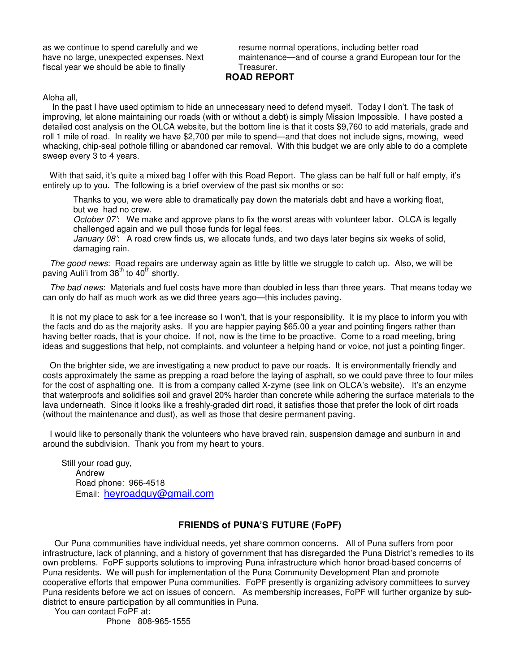as we continue to spend carefully and we have no large, unexpected expenses. Next fiscal year we should be able to finally

resume normal operations, including better road maintenance—and of course a grand European tour for the Treasurer.

## **ROAD REPORT**

Aloha all,

 In the past I have used optimism to hide an unnecessary need to defend myself. Today I don't. The task of improving, let alone maintaining our roads (with or without a debt) is simply Mission Impossible. I have posted a detailed cost analysis on the OLCA website, but the bottom line is that it costs \$9,760 to add materials, grade and roll 1 mile of road. In reality we have \$2,700 per mile to spend—and that does not include signs, mowing, weed whacking, chip-seal pothole filling or abandoned car removal. With this budget we are only able to do a complete sweep every 3 to 4 years.

With that said, it's quite a mixed bag I offer with this Road Report. The glass can be half full or half empty, it's entirely up to you. The following is a brief overview of the past six months or so:

Thanks to you, we were able to dramatically pay down the materials debt and have a working float, but we had no crew.

October 07': We make and approve plans to fix the worst areas with volunteer labor. OLCA is legally challenged again and we pull those funds for legal fees.

January 08'. A road crew finds us, we allocate funds, and two days later begins six weeks of solid, damaging rain.

The good news: Road repairs are underway again as little by little we struggle to catch up. Also, we will be paving Auli'i from  $38<sup>th</sup>$  to  $40<sup>th</sup>$  shortly.

 The bad news: Materials and fuel costs have more than doubled in less than three years. That means today we can only do half as much work as we did three years ago—this includes paving.

It is not my place to ask for a fee increase so I won't, that is your responsibility. It is my place to inform you with the facts and do as the majority asks. If you are happier paying \$65.00 a year and pointing fingers rather than having better roads, that is your choice. If not, now is the time to be proactive. Come to a road meeting, bring ideas and suggestions that help, not complaints, and volunteer a helping hand or voice, not just a pointing finger.

 On the brighter side, we are investigating a new product to pave our roads. It is environmentally friendly and costs approximately the same as prepping a road before the laying of asphalt, so we could pave three to four miles for the cost of asphalting one. It is from a company called X-zyme (see link on OLCA's website). It's an enzyme that waterproofs and solidifies soil and gravel 20% harder than concrete while adhering the surface materials to the lava underneath. Since it looks like a freshly-graded dirt road, it satisfies those that prefer the look of dirt roads (without the maintenance and dust), as well as those that desire permanent paving.

 I would like to personally thank the volunteers who have braved rain, suspension damage and sunburn in and around the subdivision. Thank you from my heart to yours.

 Still your road guy, Andrew Road phone: 966-4518 Email: heyroadguy@gmail.com

# **FRIENDS of PUNA'S FUTURE (FoPF)**

 Our Puna communities have individual needs, yet share common concerns. All of Puna suffers from poor infrastructure, lack of planning, and a history of government that has disregarded the Puna District's remedies to its own problems. FoPF supports solutions to improving Puna infrastructure which honor broad-based concerns of Puna residents. We will push for implementation of the Puna Community Development Plan and promote cooperative efforts that empower Puna communities. FoPF presently is organizing advisory committees to survey Puna residents before we act on issues of concern. As membership increases, FoPF will further organize by subdistrict to ensure participation by all communities in Puna.

 You can contact FoPF at: Phone 808-965-1555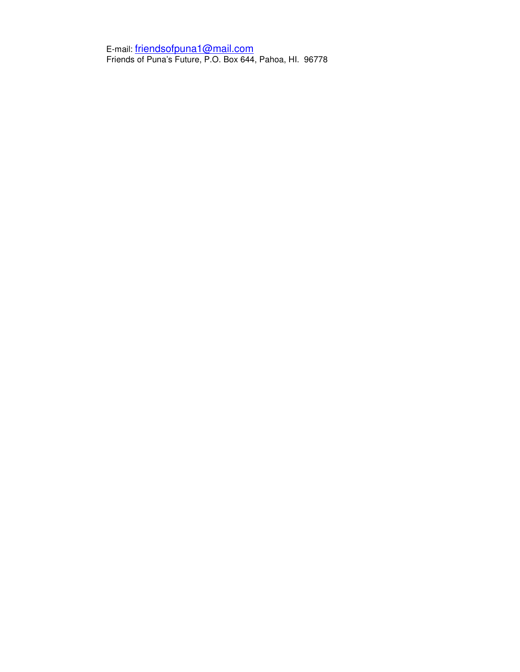E-mail: friendsofpuna1@mail.com Friends of Puna's Future, P.O. Box 644, Pahoa, HI. 96778